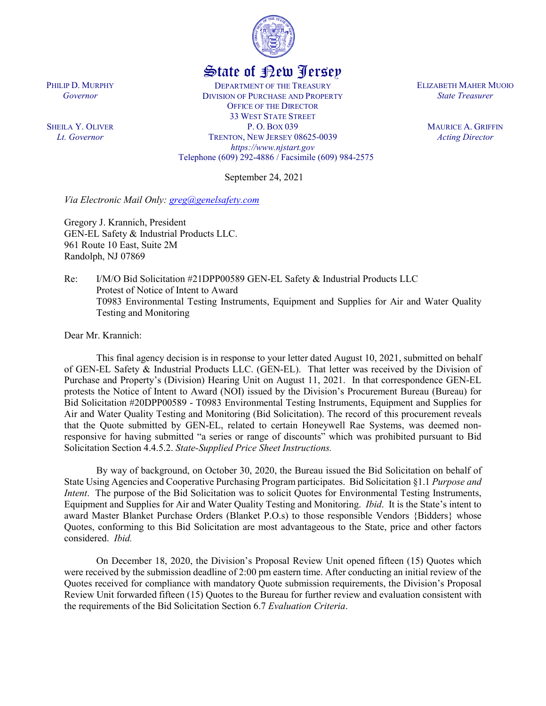

## State of New Jersey

DEPARTMENT OF THE TREASURY DIVISION OF PURCHASE AND PROPERTY OFFICE OF THE DIRECTOR 33 WEST STATE STREET P. O. BOX 039 TRENTON, NEW JERSEY 08625-0039 *https://www.njstart.gov* Telephone (609) 292-4886 / Facsimile (609) 984-2575

September 24, 2021

*Via Electronic Mail Only: [greg@genelsafety.com](mailto:greg@genelsafety.com)*

Gregory J. Krannich, President GEN-EL Safety & Industrial Products LLC. 961 Route 10 East, Suite 2M Randolph, NJ 07869

Re: I/M/O Bid Solicitation #21DPP00589 GEN-EL Safety & Industrial Products LLC Protest of Notice of Intent to Award T0983 Environmental Testing Instruments, Equipment and Supplies for Air and Water Quality Testing and Monitoring

Dear Mr. Krannich:

This final agency decision is in response to your letter dated August 10, 2021, submitted on behalf of GEN-EL Safety & Industrial Products LLC. (GEN-EL). That letter was received by the Division of Purchase and Property's (Division) Hearing Unit on August 11, 2021. In that correspondence GEN-EL protests the Notice of Intent to Award (NOI) issued by the Division's Procurement Bureau (Bureau) for Bid Solicitation #20DPP00589 - T0983 Environmental Testing Instruments, Equipment and Supplies for Air and Water Quality Testing and Monitoring (Bid Solicitation). The record of this procurement reveals that the Quote submitted by GEN-EL, related to certain Honeywell Rae Systems, was deemed nonresponsive for having submitted "a series or range of discounts" which was prohibited pursuant to Bid Solicitation Section 4.4.5.2. *State-Supplied Price Sheet Instructions.*

By way of background, on October 30, 2020, the Bureau issued the Bid Solicitation on behalf of State Using Agencies and Cooperative Purchasing Program participates. Bid Solicitation §1.1 *Purpose and Intent*. The purpose of the Bid Solicitation was to solicit Quotes for Environmental Testing Instruments, Equipment and Supplies for Air and Water Quality Testing and Monitoring. *Ibid*. It is the State's intent to award Master Blanket Purchase Orders (Blanket P.O.s) to those responsible Vendors {Bidders} whose Quotes, conforming to this Bid Solicitation are most advantageous to the State, price and other factors considered. *Ibid.* 

On December 18, 2020, the Division's Proposal Review Unit opened fifteen (15) Quotes which were received by the submission deadline of 2:00 pm eastern time. After conducting an initial review of the Quotes received for compliance with mandatory Quote submission requirements, the Division's Proposal Review Unit forwarded fifteen (15) Quotes to the Bureau for further review and evaluation consistent with the requirements of the Bid Solicitation Section 6.7 *Evaluation Criteria*.

PHILIP D. MURPHY *Governor*

SHEILA Y. OLIVER *Lt. Governor*

ELIZABETH MAHER MUOIO *State Treasurer*

> MAURICE A. GRIFFIN *Acting Director*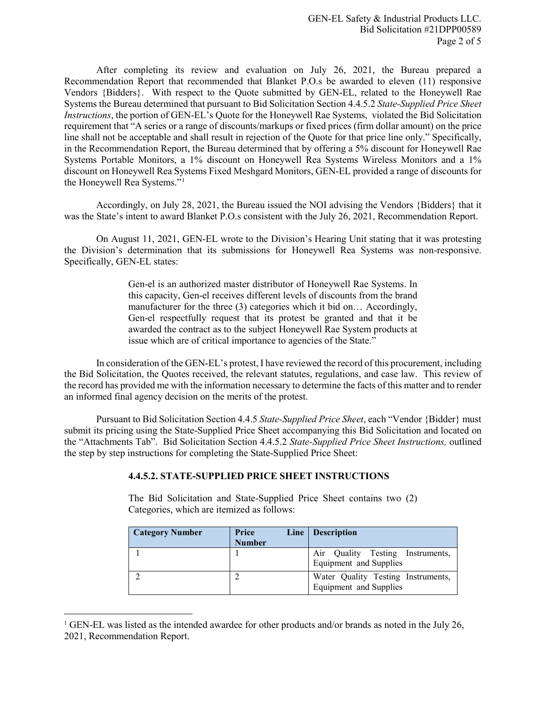After completing its review and evaluation on July 26, 2021, the Bureau prepared a Recommendation Report that recommended that Blanket P.O.s be awarded to eleven (11) responsive Vendors {Bidders}. With respect to the Quote submitted by GEN-EL, related to the Honeywell Rae Systems the Bureau determined that pursuant to Bid Solicitation Section 4.4.5.2 *State-Supplied Price Sheet Instructions*, the portion of GEN-EL's Quote for the Honeywell Rae Systems, violated the Bid Solicitation requirement that "A series or a range of discounts/markups or fixed prices (firm dollar amount) on the price line shall not be acceptable and shall result in rejection of the Quote for that price line only." Specifically, in the Recommendation Report, the Bureau determined that by offering a 5% discount for Honeywell Rae Systems Portable Monitors, a 1% discount on Honeywell Rea Systems Wireless Monitors and a 1% discount on Honeywell Rea Systems Fixed Meshgard Monitors, GEN-EL provided a range of discounts for the Honeywell Rea Systems."[1](#page-1-0)

Accordingly, on July 28, 2021, the Bureau issued the NOI advising the Vendors {Bidders} that it was the State's intent to award Blanket P.O.s consistent with the July 26, 2021, Recommendation Report.

On August 11, 2021, GEN-EL wrote to the Division's Hearing Unit stating that it was protesting the Division's determination that its submissions for Honeywell Rea Systems was non-responsive. Specifically, GEN-EL states:

> Gen-el is an authorized master distributor of Honeywell Rae Systems. In this capacity, Gen-el receives different levels of discounts from the brand manufacturer for the three (3) categories which it bid on... Accordingly, Gen-el respectfully request that its protest be granted and that it be awarded the contract as to the subject Honeywell Rae System products at issue which are of critical importance to agencies of the State."

In consideration of the GEN-EL's protest, I have reviewed the record of this procurement, including the Bid Solicitation, the Quotes received, the relevant statutes, regulations, and case law. This review of the record has provided me with the information necessary to determine the facts of this matter and to render an informed final agency decision on the merits of the protest.

Pursuant to Bid Solicitation Section 4.4.5 *State-Supplied Price Sheet*, each "Vendor {Bidder} must submit its pricing using the State-Supplied Price Sheet accompanying this Bid Solicitation and located on the "Attachments Tab". Bid Solicitation Section 4.4.5.2 *State-Supplied Price Sheet Instructions,* outlined the step by step instructions for completing the State-Supplied Price Sheet:

## **4.4.5.2. STATE-SUPPLIED PRICE SHEET INSTRUCTIONS**

The Bid Solicitation and State-Supplied Price Sheet contains two (2) Categories, which are itemized as follows:

| <b>Category Number</b> | Price         | Line   Description                                           |
|------------------------|---------------|--------------------------------------------------------------|
|                        | <b>Number</b> |                                                              |
|                        |               | Air Quality Testing Instruments,<br>Equipment and Supplies   |
|                        |               | Water Quality Testing Instruments,<br>Equipment and Supplies |

<span id="page-1-0"></span><sup>&</sup>lt;sup>1</sup> GEN-EL was listed as the intended awardee for other products and/or brands as noted in the July 26, 2021, Recommendation Report.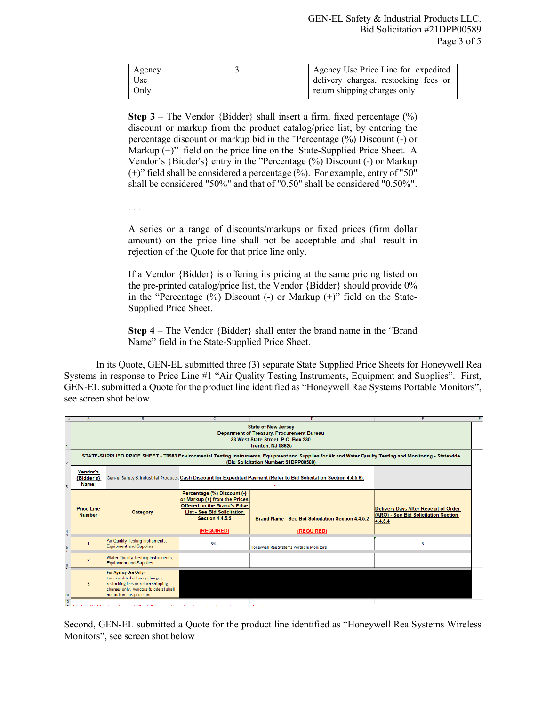| Agency | Agency Use Price Line for expedited  |
|--------|--------------------------------------|
| Use    | delivery charges, restocking fees or |
| Only   | return shipping charges only         |

**Step 3** – The Vendor  ${Bidder}$  shall insert a firm, fixed percentage  $(\%)$ discount or markup from the product catalog/price list, by entering the percentage discount or markup bid in the "Percentage (%) Discount (-) or Markup  $(+)$ " field on the price line on the State-Supplied Price Sheet. A Vendor's {Bidder's} entry in the "Percentage (%) Discount (-) or Markup (+)" field shall be considered a percentage (%). For example, entry of "50" shall be considered "50%" and that of "0.50" shall be considered "0.50%".

. . .

A series or a range of discounts/markups or fixed prices (firm dollar amount) on the price line shall not be acceptable and shall result in rejection of the Quote for that price line only.

If a Vendor {Bidder} is offering its pricing at the same pricing listed on the pre-printed catalog/price list, the Vendor {Bidder} should provide 0% in the "Percentage  $(\%)$  Discount  $(-)$  or Markup  $(+)$ " field on the State-Supplied Price Sheet.

**Step 4** – The Vendor {Bidder} shall enter the brand name in the "Brand Name" field in the State-Supplied Price Sheet.

In its Quote, GEN-EL submitted three (3) separate State Supplied Price Sheets for Honeywell Rea Systems in response to Price Line #1 "Air Quality Testing Instruments, Equipment and Supplies". First, GEN-EL submitted a Quote for the product line identified as "Honeywell Rae Systems Portable Monitors", see screen shot below.

|    | $\overline{A}$                                                                                                                                                                                     | B.                                                                                                                                                                     | $\epsilon$                                                                                                                                                                        | D.                                                                     | Ŧ                                                                                       | F |
|----|----------------------------------------------------------------------------------------------------------------------------------------------------------------------------------------------------|------------------------------------------------------------------------------------------------------------------------------------------------------------------------|-----------------------------------------------------------------------------------------------------------------------------------------------------------------------------------|------------------------------------------------------------------------|-----------------------------------------------------------------------------------------|---|
|    | <b>State of New Jersey</b><br>Department of Treasury, Procurement Bureau<br>33 West State Street, P.O. Box 230<br>Trenton, NJ 08625                                                                |                                                                                                                                                                        |                                                                                                                                                                                   |                                                                        |                                                                                         |   |
|    | STATE-SUPPLIED PRICE SHEET - T0983 Environmental Testing Instruments, Equipment and Supplies for Air and Water Quality Testing and Monitoring - Statewide<br>(Bid Solicitation Number: 21DPP00589) |                                                                                                                                                                        |                                                                                                                                                                                   |                                                                        |                                                                                         |   |
|    | <b>Vendor's</b><br>Gen-el Safety & Industrial Products, Cash Discount for Expedited Payment (Refer to Bid Solicitation Section 4.4.5.6):<br>{Bidder's}<br>Name:                                    |                                                                                                                                                                        |                                                                                                                                                                                   |                                                                        |                                                                                         |   |
| 4  | <b>Price Line</b><br><b>Number</b>                                                                                                                                                                 | Category                                                                                                                                                               | Percentage (%) Discount (-)<br>or Markup (+) from the Prices<br><b>Offered on the Brand's Price</b><br><b>List - See Bid Solicitation</b><br><b>Section 4.4.5.2</b><br>(REQUIRED) | <b>Brand Name - See Bid Solicitation Section 4.4.5.2</b><br>(REQUIRED) | Delivery Days After Receipt of Order<br>(ARO) - See Bid Solicitation Section<br>4.4.5.4 |   |
|    |                                                                                                                                                                                                    | Air Quality Testing Instruments,<br><b>Equipment and Supplies</b>                                                                                                      | $5% -$                                                                                                                                                                            | Honeywell Rae Systems Portable Monitors                                | 5                                                                                       |   |
|    | $\overline{2}$                                                                                                                                                                                     | Water Quality Testing Instruments,<br><b>Equipment and Supplies</b>                                                                                                    |                                                                                                                                                                                   |                                                                        |                                                                                         |   |
| 10 | 3                                                                                                                                                                                                  | For Agency Use Only -<br>For expedited delivery charges,<br>restocking fees or return shipping<br>charges only. Vendors {Bidders} shall<br>not bid on this price line. |                                                                                                                                                                                   |                                                                        |                                                                                         |   |
| 12 |                                                                                                                                                                                                    |                                                                                                                                                                        |                                                                                                                                                                                   |                                                                        |                                                                                         |   |

Second, GEN-EL submitted a Quote for the product line identified as "Honeywell Rea Systems Wireless Monitors", see screen shot below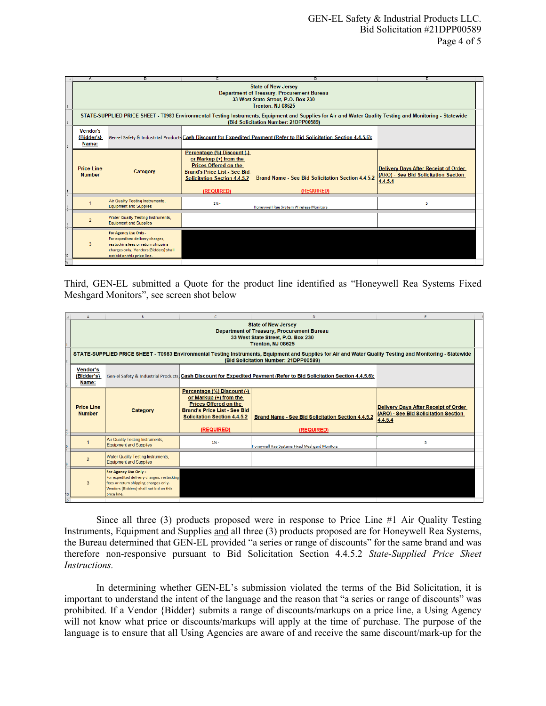| А.                                                                                                                                                                                                 | B.                                                                                                                                                                     |                                                                                                                                                                                     | n                                                                                                                    |                                                                                                |  |
|----------------------------------------------------------------------------------------------------------------------------------------------------------------------------------------------------|------------------------------------------------------------------------------------------------------------------------------------------------------------------------|-------------------------------------------------------------------------------------------------------------------------------------------------------------------------------------|----------------------------------------------------------------------------------------------------------------------|------------------------------------------------------------------------------------------------|--|
| <b>State of New Jersey</b><br><b>Department of Treasury, Procurement Bureau</b><br>33 West State Street, P.O. Box 230<br>Trenton, NJ 08625                                                         |                                                                                                                                                                        |                                                                                                                                                                                     |                                                                                                                      |                                                                                                |  |
| STATE-SUPPLIED PRICE SHEET - T0983 Environmental Testing Instruments, Equipment and Supplies for Air and Water Quality Testing and Monitoring - Statewide<br>(Bid Solicitation Number: 21DPP00589) |                                                                                                                                                                        |                                                                                                                                                                                     |                                                                                                                      |                                                                                                |  |
| <b>Vendor's</b><br>{Bidder's}<br>Name:                                                                                                                                                             |                                                                                                                                                                        |                                                                                                                                                                                     | Gen-el Safety & Industrial Products Cash Discount for Expedited Payment (Refer to Bid Solicitation Section 4.4.5.6): |                                                                                                |  |
| <b>Price Line</b><br><b>Number</b>                                                                                                                                                                 | Category                                                                                                                                                               | Percentage (%) Discount (-)<br>or Markup $(+)$ from the<br><b>Prices Offered on the</b><br><b>Brand's Price List - See Bid</b><br><b>Solicitation Section 4.4.5.2</b><br>(REQUIRED) | <b>Brand Name - See Bid Solicitation Section 4.4.5.2</b><br><b>(REQUIRED)</b>                                        | <b>Delivery Days After Receipt of Order</b><br>(ARO) - See Bid Solicitation Section<br>4.4.5.4 |  |
|                                                                                                                                                                                                    | Air Quality Testing Instruments,<br><b>Equipment and Supplies</b>                                                                                                      | $196 -$                                                                                                                                                                             | Honeywell Rae System Wireless Monitors                                                                               | 5                                                                                              |  |
| $\mathcal{P}$                                                                                                                                                                                      | <b>Water Quality Testing Instruments.</b><br><b>Equipment and Supplies</b>                                                                                             |                                                                                                                                                                                     |                                                                                                                      |                                                                                                |  |
| з                                                                                                                                                                                                  | For Agency Use Only -<br>For expedited delivery charges,<br>restocking fees or return shipping<br>charges only. Vendors {Bidders} shall<br>not bid on this price line. |                                                                                                                                                                                     |                                                                                                                      |                                                                                                |  |
|                                                                                                                                                                                                    |                                                                                                                                                                        |                                                                                                                                                                                     |                                                                                                                      |                                                                                                |  |

Third, GEN-EL submitted a Quote for the product line identified as "Honeywell Rea Systems Fixed Meshgard Monitors", see screen shot below

|                                                                                                                                                                                                    | R                                                                                                                        |                                                                                                                                                                                   | D                                                                      | F                                                                                                                     |  |
|----------------------------------------------------------------------------------------------------------------------------------------------------------------------------------------------------|--------------------------------------------------------------------------------------------------------------------------|-----------------------------------------------------------------------------------------------------------------------------------------------------------------------------------|------------------------------------------------------------------------|-----------------------------------------------------------------------------------------------------------------------|--|
| <b>State of New Jersey</b><br><b>Department of Treasury, Procurement Bureau</b><br>33 West State Street, P.O. Box 230<br><b>Trenton, NJ 08625</b>                                                  |                                                                                                                          |                                                                                                                                                                                   |                                                                        |                                                                                                                       |  |
| STATE-SUPPLIED PRICE SHEET - T0983 Environmental Testing Instruments, Equipment and Supplies for Air and Water Quality Testing and Monitoring - Statewide<br>(Bid Solicitation Number: 21DPP00589) |                                                                                                                          |                                                                                                                                                                                   |                                                                        |                                                                                                                       |  |
| <b>Vendor's</b><br>{Bidder's}<br>Name:                                                                                                                                                             |                                                                                                                          |                                                                                                                                                                                   |                                                                        |                                                                                                                       |  |
| <b>Price Line</b><br><b>Number</b>                                                                                                                                                                 | Category                                                                                                                 | Percentage (%) Discount (-)<br>or Markup (+) from the<br><b>Prices Offered on the</b><br><b>Brand's Price List - See Bid</b><br><b>Solicitation Section 4.4.5.2</b><br>(REQUIRED) | <b>Brand Name - See Bid Solicitation Section 4.4.5.2</b><br>(REQUIRED) | <b>Delivery Days After Receipt of Order</b><br>(ARO) - See Bid Solicitation Section<br>4.4.5.4                        |  |
|                                                                                                                                                                                                    | Air Quality Testing Instruments,<br><b>Equipment and Supplies</b>                                                        | $1% -$                                                                                                                                                                            | Honeywell Rae Systems Fixed Meshgard Monitors                          | 5                                                                                                                     |  |
| $\overline{2}$                                                                                                                                                                                     | <b>Water Quality Testing Instruments,</b><br><b>Equipment and Supplies</b>                                               |                                                                                                                                                                                   |                                                                        |                                                                                                                       |  |
| 3                                                                                                                                                                                                  | For Agency Use Only -<br>fees or return shipping charges only.<br>Vendors {Bidders} shall not bid on this<br>price line. |                                                                                                                                                                                   |                                                                        |                                                                                                                       |  |
|                                                                                                                                                                                                    |                                                                                                                          |                                                                                                                                                                                   | For expedited delivery charges, restocking                             | Gen-el Safety & Industrial Products, Cash Discount for Expedited Payment (Refer to Bid Solicitation Section 4.4.5.6): |  |

Since all three (3) products proposed were in response to Price Line #1 Air Quality Testing Instruments, Equipment and Supplies and all three (3) products proposed are for Honeywell Rea Systems, the Bureau determined that GEN-EL provided "a series or range of discounts" for the same brand and was therefore non-responsive pursuant to Bid Solicitation Section 4.4.5.2 *State-Supplied Price Sheet Instructions.*

In determining whether GEN-EL's submission violated the terms of the Bid Solicitation, it is important to understand the intent of the language and the reason that "a series or range of discounts" was prohibited*.* If a Vendor {Bidder} submits a range of discounts/markups on a price line, a Using Agency will not know what price or discounts/markups will apply at the time of purchase. The purpose of the language is to ensure that all Using Agencies are aware of and receive the same discount/mark-up for the